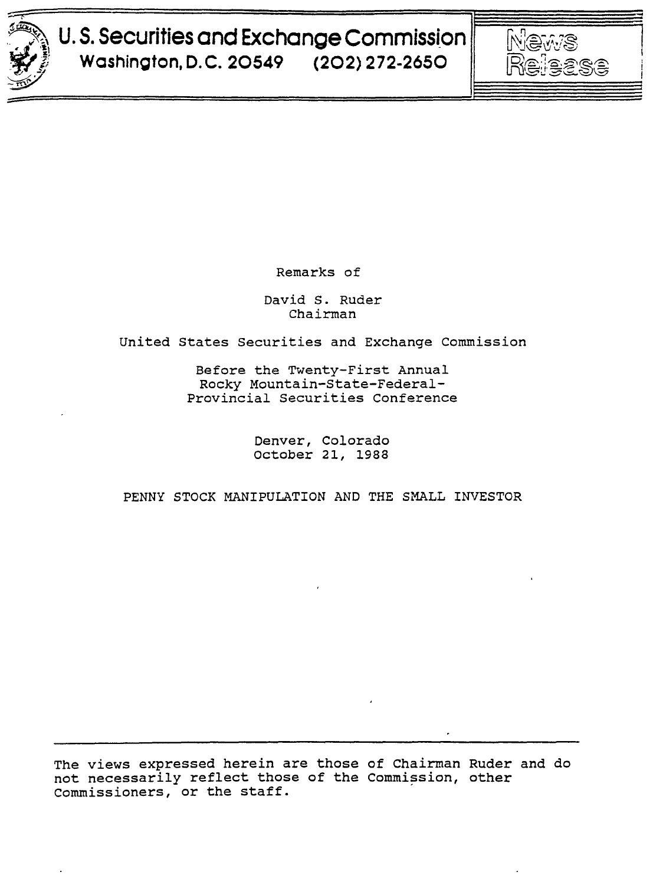

# $~^{\circ}$   $~^{\circ}$   $~^{\circ}$   $~^{\circ}$   $~^{\circ}$   $~^{\circ}$   $~^{\circ}$   $~^{\circ}$   $~^{\circ}$   $~^{\circ}$   $~^{\circ}$   $~^{\circ}$   $~^{\circ}$   $~^{\circ}$   $~^{\circ}$   $~^{\circ}$   $~^{\circ}$   $~^{\circ}$   $~^{\circ}$   $~^{\circ}$   $~^{\circ}$   $~^{\circ}$   $~^{\circ}$   $~^{\circ}$   $~^{\circ}$   $~^{\circ}$   $~^{\circ}$   $~^{\circ$  $\mathbb{Z}^{\mathbb{Z}}$  U.S. Securities and Exchange Commission  $\|\quad$   $\mathbb{N}$  and  $\mathbb{S}$ **Washington, D.C. 20549 (202) 272-2650 | 图@@\$\$\$**



Remarks of

David S. Ruder Chairman

united States Securities and Exchange Commission

Before the Twenty-First Annual Rocky Mountain-State-Federal-Provincial Securities Conference

> Denver, Colorado october 21, 1988

PENNY STOCK MANIPULATION AND THE SMALL INVESTOR

The views expressed herein are those of Chairman Ruder and do not necessarily reflect those of the Commission, other Commissioners, or the staff.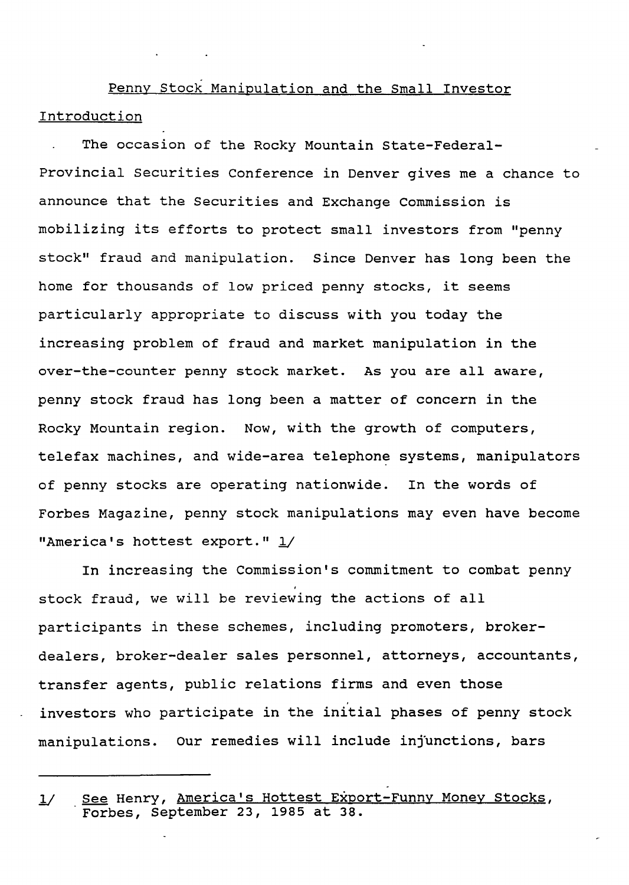Penny stock Manipulation and the Small Investor Introduction

The occasion of the Rocky Mountain State-Federal-Provincial securities Conference in Denver gives me a chance to announce that the Securities and Exchange Commission is mobilizing its efforts to protect small investors from "penny stock" fraud and manipulation. Since Denver has long been the home for thousands of low priced penny stocks, it seems particularly appropriate to discuss with you today the increasing problem of fraud and market manipulation in the over-the-counter penny stock market. As you are all aware, penny stock fraud has long been a matter of concern in the Rocky Mountain region. Now, with the growth of computers, telefax machines, and wide-area telephone systems, manipulators of penny stocks are operating nationwide. In the words of Forbes Magazine, penny stock manipulations may even have become "America's hottest export." 1/

In increasing the Commission's commitment to combat penny stock fraud, we will be reviewing the actions of all participants in these schemes, including promoters, brokerdealers, broker-dealer sales personnel, attorneys, accountants, transfer agents, public relations firms and even those . investors who participate in the initial phases of penny stock manipulations. Our remedies will include injunctions, bars

<sup>1/</sup> See Henry, America's Hottest Export-Funny Money Stocks, Forbes, September 23, 1985 at 38.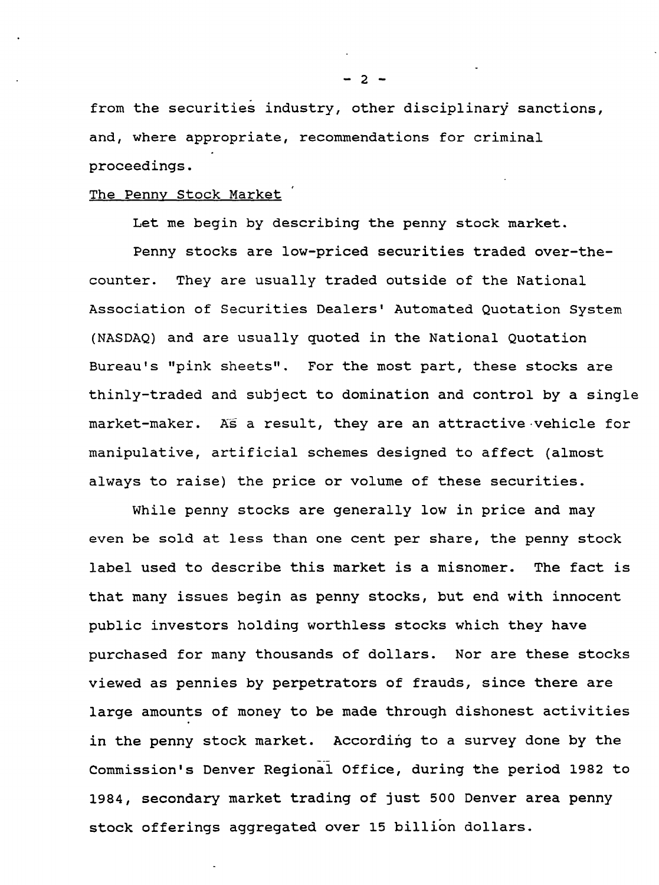from the securities industry, other disciplinary sanctions, and, where appropriate, recommendations for criminal proceedings.

## The Penny stock Market

Let me begin by describing the penny stock market.

Penny stocks are low-priced securities traded over-thecounter. They are usually traded outside of the National Association of Securities Dealers' Automated Quotation System (NASDAQ) and are usually quoted in the National Quotation Bureau's "pink sheets". For the most part, these stocks are thinly-traded and sUbject to domination and control by a single market-maker. As a result, they are an attractive vehicle for manipulative, artificial schemes designed to affect (almost always to raise) the price or volume of these securities.

While penny stocks are generally low in price and may even be sold at less than one cent per share, the penny stock label used to describe this market is a misnomer. The fact is that many issues begin as penny stocks, but end with innocent public investors holding worthless stocks which they have purchased for many thousands of dollars. Nor are these stocks viewed as pennies by perpetrators of frauds, since there are large amounts of money to be made through dishonest activities in the penny stock market. According to a survey done by the Commission's Denver Regional Office, during the period 1982 to 1984, secondary market trading of just 500 Denver area penny stock offerings aggregated over 15 billion dollars.

 $- 2 -$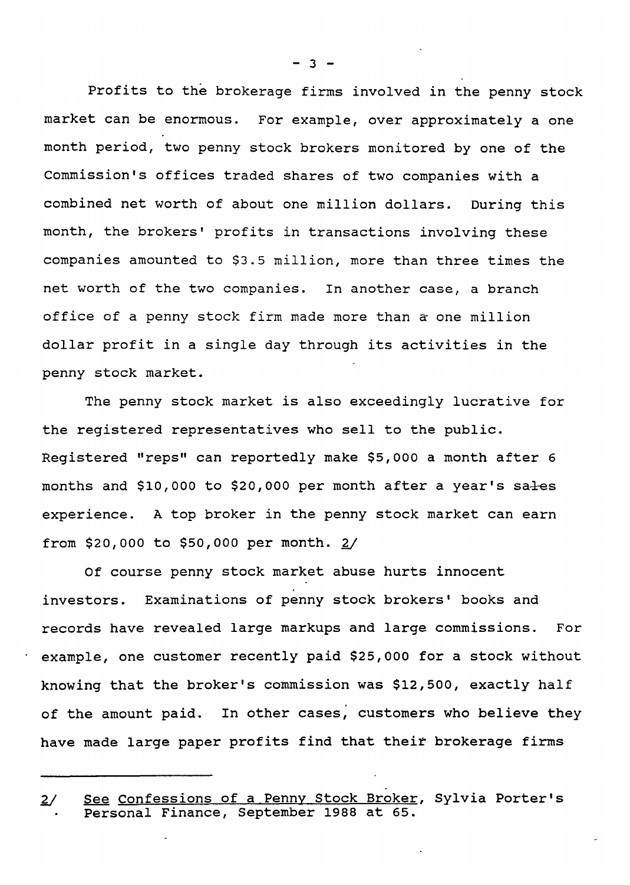Profits to the brokerage firms involved in the penny stock market can be enormous. For example, over approximately a one month period, two penny stock brokers monitored by one of the Commission's offices traded shares of two companies with a combined net worth of about one million dollars. During this month, the brokers' profits in transactions involving these companies amounted to \$3.5 million, more than three times the net worth of the two companies. In another case, a branch office of a penny stock firm made more than a one million dollar profit in a single day through its activities in the penny stock market.

The penny stock market is also exceedingly lucrative for the registered representatives who sell to the public. Registered "reps" can reportedly make \$5,000 a month after 6 months and  $$10,000$  to  $$20,000$  per month after a year's sales experience. A top broker in the penny stock market can earn from \$20,000 to \$50,000 per month.  $2/$ 

Of course penny stock market abuse hurts innocent investors. Examinations of penny stock brokers' books and records have revealed large markups and large commissions. For example, one customer recently paid \$25,000 for a stock without knowing that the broker's commission was \$12,500, exactly half of the amount paid. In other cases, customers who believe they have made large paper profits find that their brokerage firms

 $-3 -$ 

l/ *See* Confessions of <sup>a</sup> Penny Stock Broker, Sylvia Porter's Personal Finance, September 1988 at 65.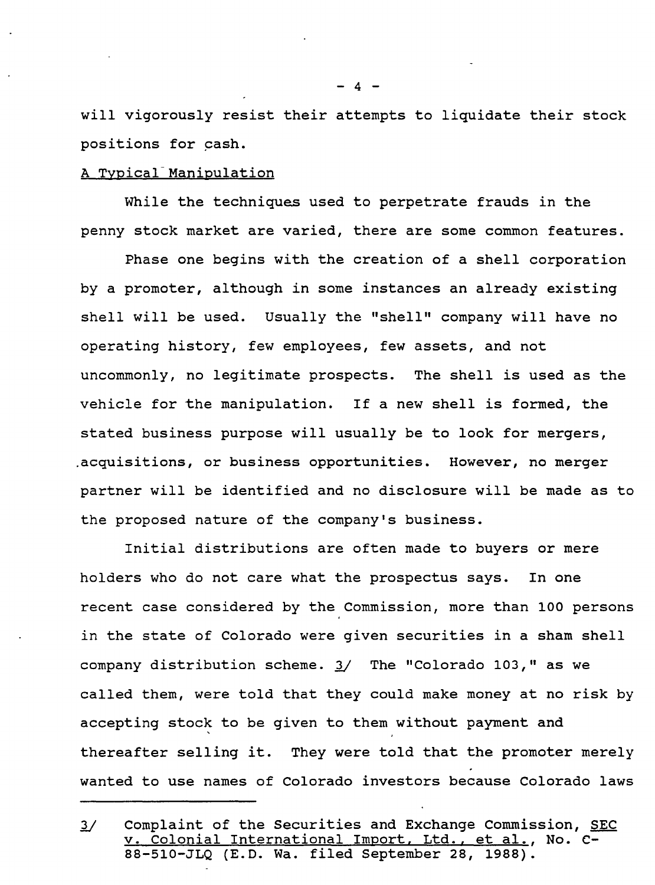will vigorously resist their attempts to liquidate their stock positions for cash.

# A Typical-Manipulation

While the techniques used to perpetrate frauds in the penny stock market are varied, there are some common features.

Phase one begins with the creation of a shell corporation by a promoter, although in some instances an already existing shell will be used. Usually the "shell" company will have no operating history, few employees, few assets, and not uncommonly, no legitimate prospects. The shell is used as the vehicle for the manipulation. If a new shell is formed, the stated business purpose will usually be to look for mergers, .acquisitions, or business opportunities. However, no merger partner will be identified and no disclosure will be made as to the proposed nature of the company's business.

Initial distributions are often made to buyers or mere holders who do not care what the prospectus says. In one recent case considered by the Commission, more than 100 persons in the state of Colorado were given securities in a sham shell company distribution scheme. 1/ The "Colorado 103," as we called them, were told that they could make money at no risk by accepting stock to be given to them without payment and thereafter selling it. They were told that the promoter merely wanted to use names of Colorado investors because Colorado laws

 $\mathbf{A}$ 

<sup>1/</sup> Complaint of the securities and Exchange Commission, SEC v. Colonial International Import, Ltd., et al., No. C-88-510-JLQ (E.D. Wa. filed September 28, 1988).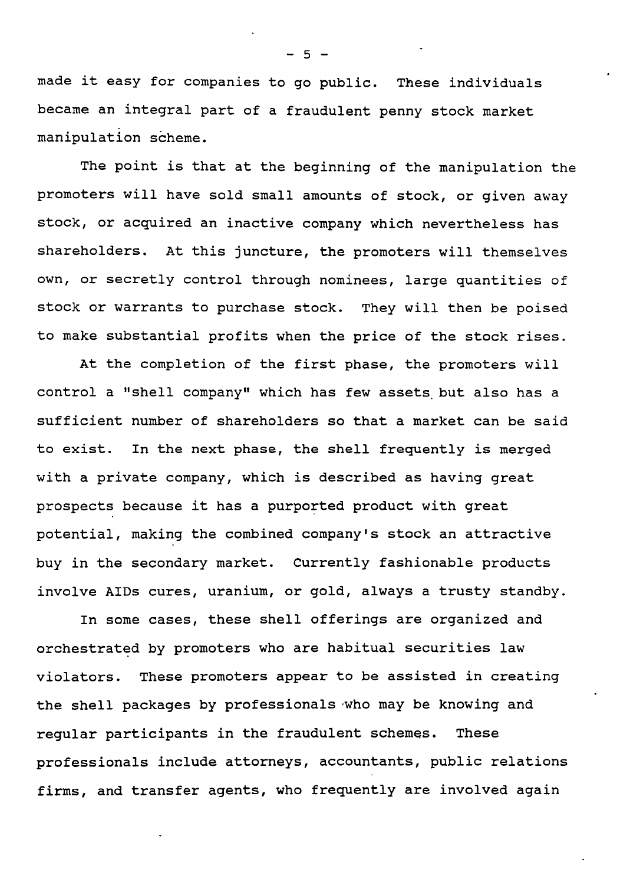made it easy for companies to go public. These individuals became an integral part of a fraudulent penny stock market manipulation scheme.

The point is that at the beginning of the manipulation the promoters will have sold small amounts of stock, or given away stock, or acquired an inactive company which nevertheless has shareholders. At this juncture, the promoters will themselves own, or secretly control through nominees, large quantities of stock or warrants to purchase stock. They will then be poised to make substantial profits when the price of the stock rises.

At the completion of the first phase, the promoters will control a "shell company" which has few assets. but also has a sufficient number of shareholders so that a market can be said to exist. In the next phase, the shell frequently is merged with a private company, which is described as having great prospects because it has a purported product with great potential, making the combined company's stock an attractive buy in the secondary market. Currently fashionable products involve AIDs cures, uranium, or gold, always a trusty standby.

In some cases, these shell offerings are organized and orchestrated by promoters who are habitual securities law violators. These promoters appear to be assisted in creating the shell packages by professionals 'who may be knowing and regular participants in the fraudulent schemes. These professionals include attorneys, accountants, public relations firms, and transfer agents, who frequently are involved again

 $-5 -$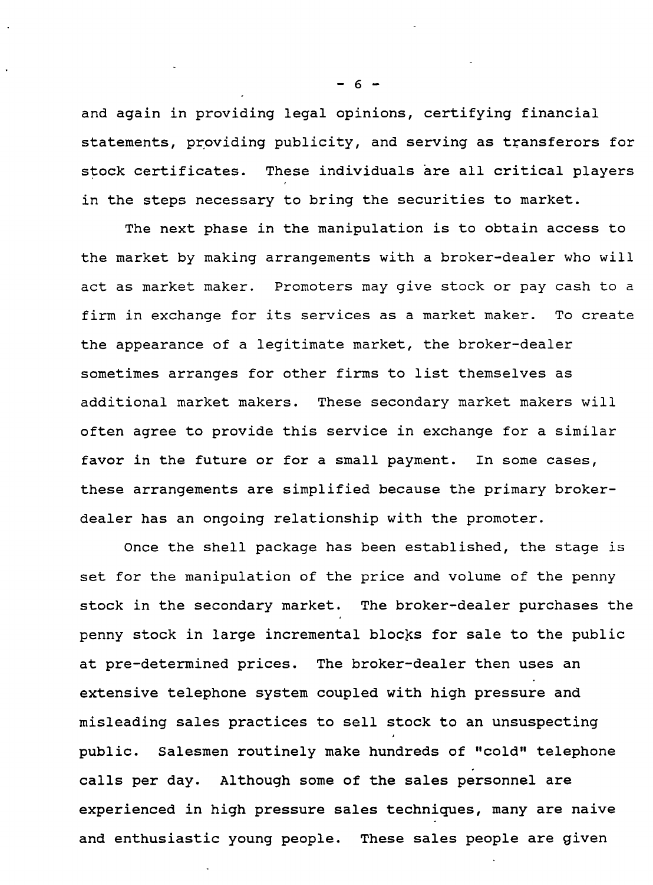and again in providing legal opinions, certifying financial statements, providing publicity, and serving as transferors for stock certificates. These individuals are all critical players in the steps necessary to bring the securities to market.

The next phase in the manipulation is to obtain access to the market by making arrangements with a broker-dealer who will act as market maker. Promoters may give stock or pay cash to a firm in exchange for its services as a market maker. To create the appearance of a legitimate market, the broker-dealer sometimes arranges for other firms to list themselves as additional market makers. These secondary market makers will often agree to provide this service in exchange for a similar favor in the future or for a small payment. In some cases, these arrangements are simplified because the primary brokerdealer has an ongoing relationship with the promoter.

Once the shell package has been established, the stage is set for the manipulation of the price and volume of the penny stock in the secondary market. The broker-dealer purchases the penny stock in large incremental blocks for sale to the public at pre-determined prices. The broker-dealer then uses an extensive telephone system coupled with high pressure and misleading sales practices to sell stock to an unsuspecting public. Salesmen routinely make hundreds of "cold" telephone calls per day. Although some of the sales personnel are experienced in high pressure sales techniques, many are naive and enthusiastic young people. These sales people are given

- 6 -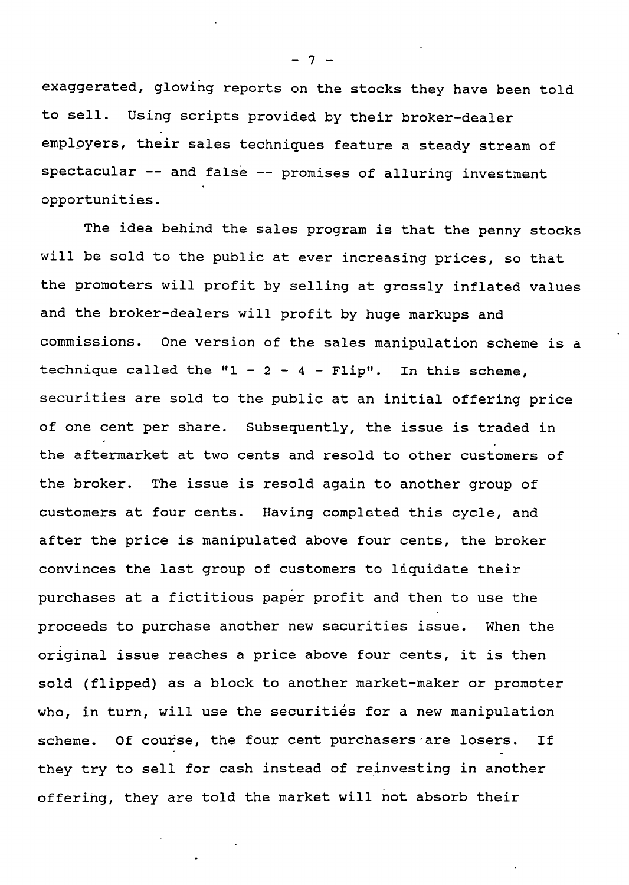exaggerated, glowing reports on the stocks they have been told to sell. Using scripts provided by their broker-dealer employers, their sales techniques feature a steady stream of spectacular -- and false -- promises of alluring investment opportunities.

The idea behind the sales program is that the penny stocks will be sold to the public at ever increasing prices, so that the promoters will profit by selling at grossly inflated values and the broker-dealers will profit by huge markups and commissions. One version of the sales manipulation scheme is a technique called the " $1 - 2 - 4 -$  Flip". In this scheme, securities are sold to the public at an initial offering price of one cent per share. Subsequently, the issue is traded in the aftermarket at two cents and resold to other customers of the broker. The issue is resold again to another group of customers at four cents. Having completed this cycle, and after the price is manipulated above four cents, the broker convinces the last group of customers to liquidate their purchases at a fictitious paper profit and then to use the proceeds to purchase another new securities issue. When the original issue reaches a price above four cents, it is then sold (flipped) as a block to another market-maker or promoter who, in turn, will use the securities for a new manipulation scheme. Of course, the four cent purchasers are losers. If they try to sell for cash instead of reinvesting in another offering, they are told the market will not absorb their

 $\overline{7}$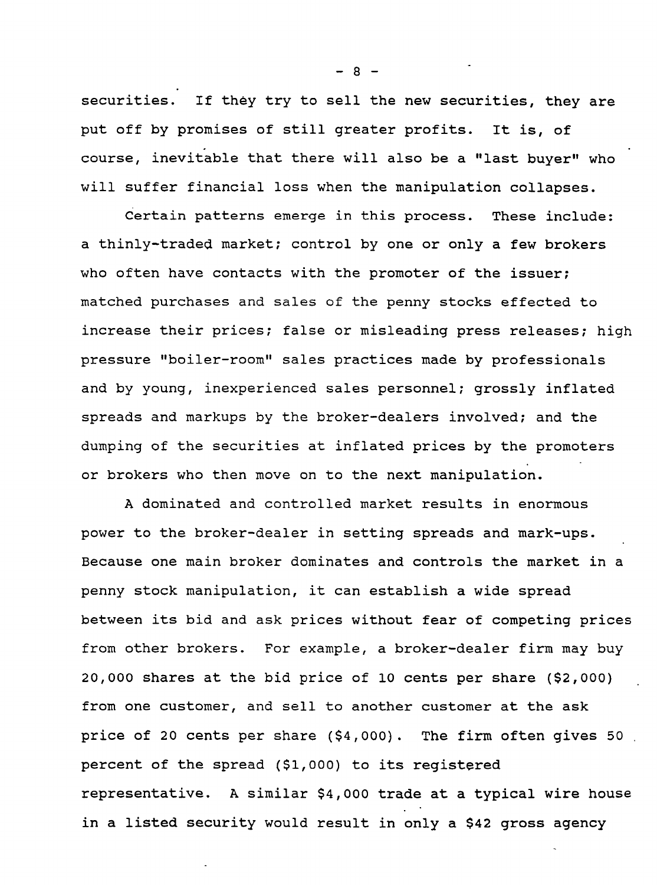securities. If they try to sell the new securities, they are put off by promises of still greater profits. It is, of course, inevitable that there will also be a "last buyer" who will suffer financial loss when the manipulation collapses.

Certain patterns emerge in this process. These include: a thinly-traded market; control by one or only a few brokers who often have contacts with the promoter of the issuer; matched purchases and sales of the penny stocks effected to increase their prices; false or misleading press releases; high pressure "boiler-room" sales practices made by professionals and by young, inexperienced sales personnel; grossly inflated spreads and markups by the broker-dealers involved; and the dumping of the securities at inflated prices by the promoters or brokers who then move on to the next manipulation.

A dominated and controlled market results in enormous power to the broker-dealer in setting spreads and mark-ups. Because one main broker dominates and controls the market in a penny stock manipulation, it can establish a wide spread between its bid and ask prices without fear of competing prices from other brokers. For example, a broker-dealer firm may buy 20,000 shares at the bid price of 10 cents per share (\$2,000) from one customer, and sell to another customer at the ask price of 20 cents per share (\$4,000). The firm often gives 50 . percent of the spread  $(51,000)$  to its registered representative. A similar \$4,000 trade at a typical wire house in a listed security would result in only a \$42 gross agency

 $- 8 -$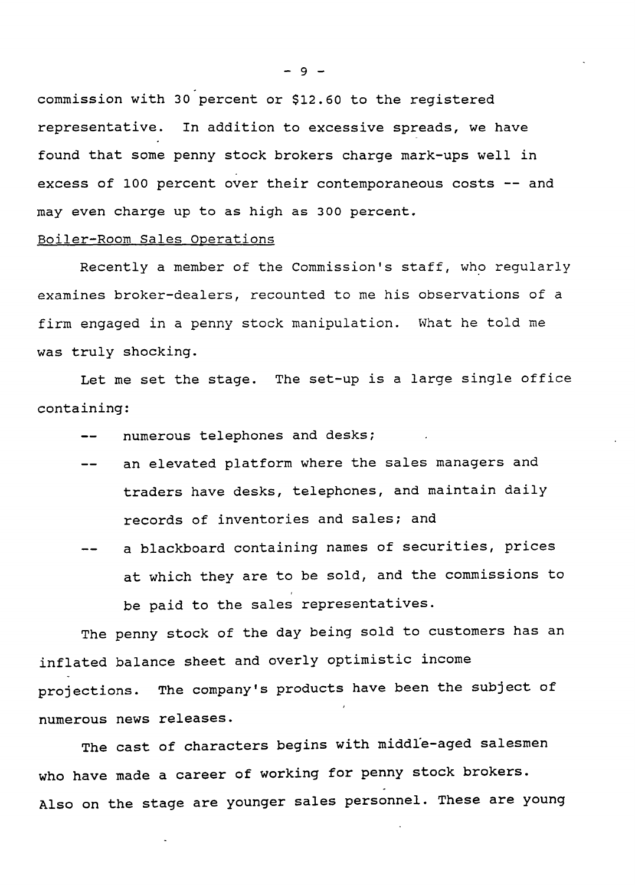commission with 30 percent or \$12.60 to the registered representative. In addition to excessive spreads, we have found that some penny stock brokers charge mark-ups well in excess of 100 percent over their contemporaneous costs -- and may even charge up to as high as 300 percent.

### Boiler-Room Sales operations

Recently a member of the Commission's staff, who regularly examines broker-dealers, recounted to me his observations of a firm engaged in a penny stock manipulation. What he told me was truly shocking.

Let me set the stage. The set-up is a large single office containing:

- numerous telephones and desks;
- an elevated platform where the sales managers and traders have desks, telephones, and maintain daily records of inventories and sales; and
- a blackboard containing names of securities, prices at which they are to be sold, and the commissions to be paid to the sales representatives.

The penny stock of the day being sold to customers has an inflated balance sheet and overly optimistic income projections. The company's products have been the subject of numerous news releases.

The cast of characters begins with middle-aged salesmen who have made a career of working for penny stock brokers. Also on the stage are younger sales personnel. These are young

 $-9 -$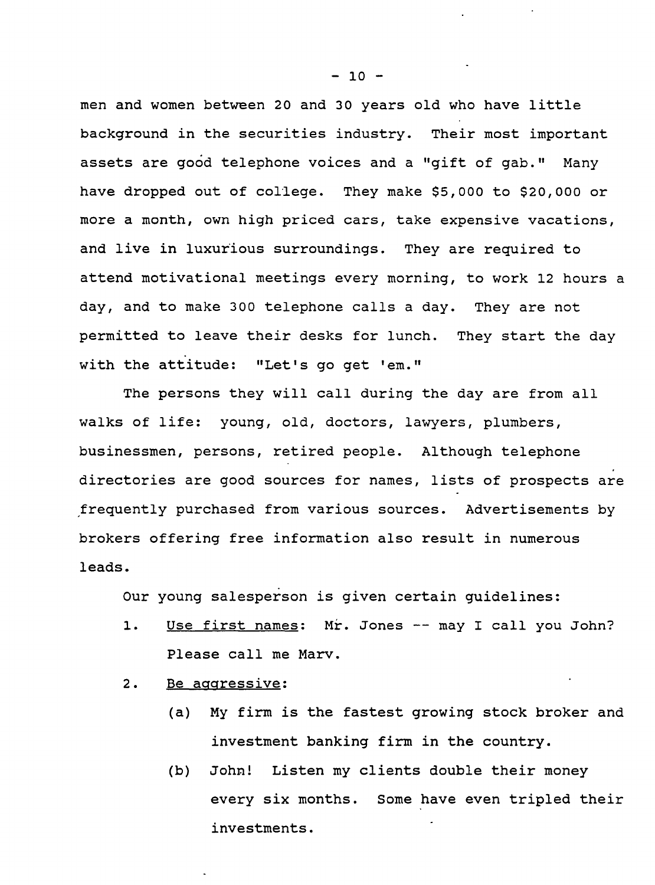men and women between 20 and 30 years old who have little background in the securities industry. Their most important assets are good telephone voices and a "gift of gab." Many have dropped out of college. They make \$5,000 to \$20,000 or more a month, own high priced cars, take expensive vacations, and live in luxurious surroundings. They are required to attend motivational meetings every morning, to work 12 hours a day, and to make 300 telephone calls a day. They are not permitted to leave their desks for lunch. They start the day with the attitude: "Let's go get 'em."

The persons they will call during the day are from all walks of life: young, old, doctors, lawyers, plumbers, businessmen, persons, retired people. Although telephone directories are good sources for names, lists of prospects are ,frequently purchased from various sources. Advertisements by brokers offering free information also result in numerous leads.

Our young salesperson is given certain guidelines:

- 1. Use first names: Mr. Jones -- may I call you John? Please call me Marv.
- 2. Be aggressive:
	- (a) My firm is the fastest growing stock broker and investment banking firm in the country.
	- (b) John! Listen my clients double their money every six months. Some have even tripled their investments.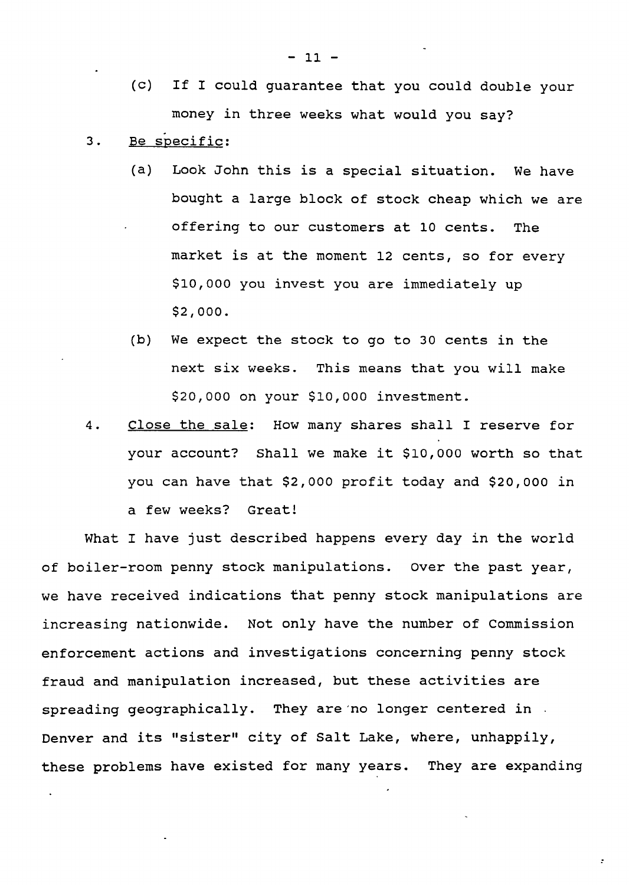- (C) If I could guarantee that you could double your money in three weeks what would you say?
- 3. Be specific:
	- (a) Look John this is a special situation. We have bought a large block of stock cheap which we are offering to our customers at 10 cents. The market is at the moment 12 cents, so for every \$10,000 you invest you are immediately up \$2,000.
	- (b) We expect the stock to go to 30 cents in the next six weeks. This means that you will make \$20,000 on your \$10,000 investment.
- 4. Close the sale: How many shares shall I reserve for your account? Shall we make it \$10,000 worth so that you can have that \$2,000 profit today and \$20,000 in a few weeks? Great!

What I have just described happens every day in the world of boiler-room penny stock manipulations. Over the past year, we have received indications that penny stock manipulations are increasing nationwide. Not only have the number of Commission enforcement actions and investigations concerning penny stock fraud and manipulation increased, but these activities are spreading geographically. They are 'no longer centered in . Denver and its "sister" city of Salt Lake, where, unhappily, these problems have existed for many years. They are expanding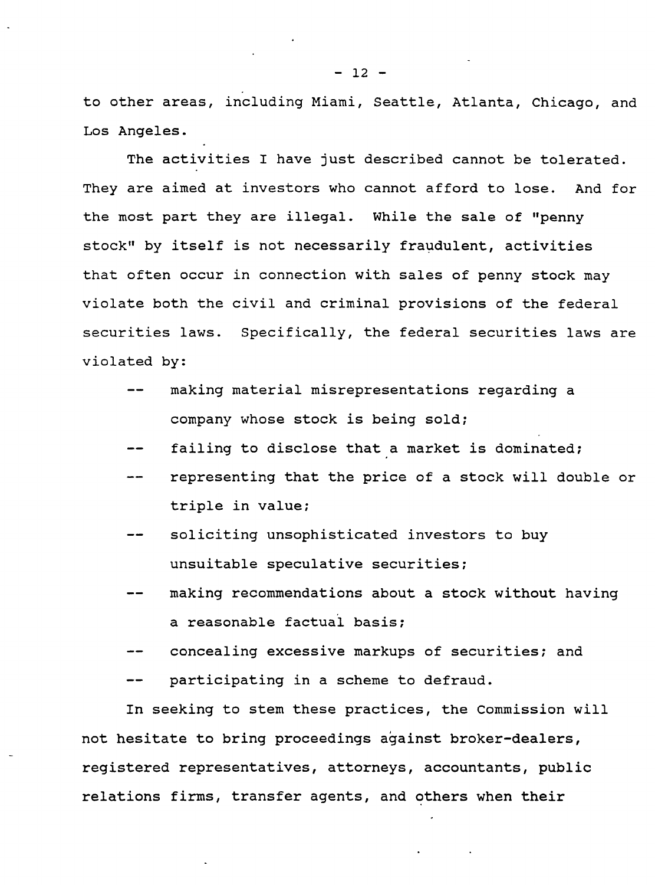to other areas, including Miami, Seattle, Atlanta, Chicago, and Los Angeles.

The activities I have just described cannot be tolerated. They are aimed at investors who cannot afford to lose. And for the most part they are illegal. While the sale of "penny stock" by itself is not necessarily fraudulent, activities that often occur in connection with sales of penny stock may violate both the civil and criminal provisions of the federal securities laws. Specifically, the federal securities laws are violated by:

- making material misrepresentations regarding a company whose stock is being sold;
- failing to disclose that a market is dominated;
- representing that the price of a stock will double or triple in value;
- soliciting unsophisticated investors to buy unsuitable speculative securities;
- making recommendations about a stock without having a reasonable factual basis;
- concealing excessive markups of securities; and
- participating in a scheme to defraud.

In seeking to stem these practices, the Commission will not hesitate to bring proceedings against broker-dealers, registered representatives, attorneys, accountants, public relations firms, transfer agents, and others when their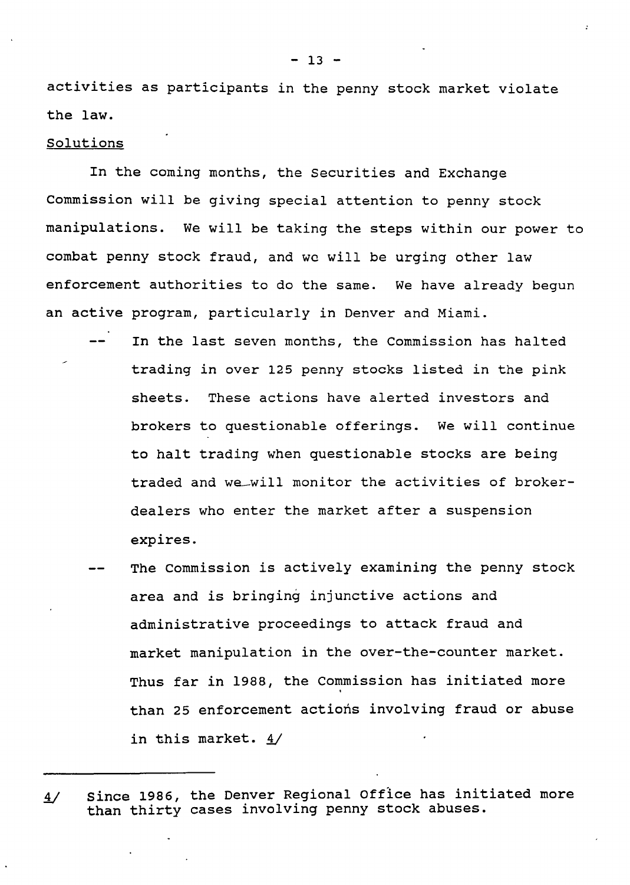activities as participants in the penny stock market violate the law.

#### Solutions

In the coming months, the Securities and Exchange Commission will be giving special attention to penny stock manipulations. We will be taking the steps within our power to combat penny stock fraud, and we will be urging other law enforcement authorities to do the same. We have already begun an active program, particularly in Denver and Miami.

- In the last seven months, the Commission has halted trading in over 125 penny stocks listed in the pink sheets. These actions have alerted investors and brokers to questionable offerings. We will continue to halt trading when questionable stocks are being traded and we-will monitor the activities of brokerdealers who enter the market after a suspension expires.
	- The Commission is actively examining the penny stock area and *is* bringing injunctive actions and administrative proceedings to attack fraud and market manipulation in the over-the-counter market. Thus far *in* 1988, the Commission has initiated more than 25 enforcement actions involving fraud or abuse in this market. 4/

 $13 -$ 

Since 1986, the Denver Regional Office has initiated more  $\frac{4}{ }$ than thirty cases involving penny stock abuses.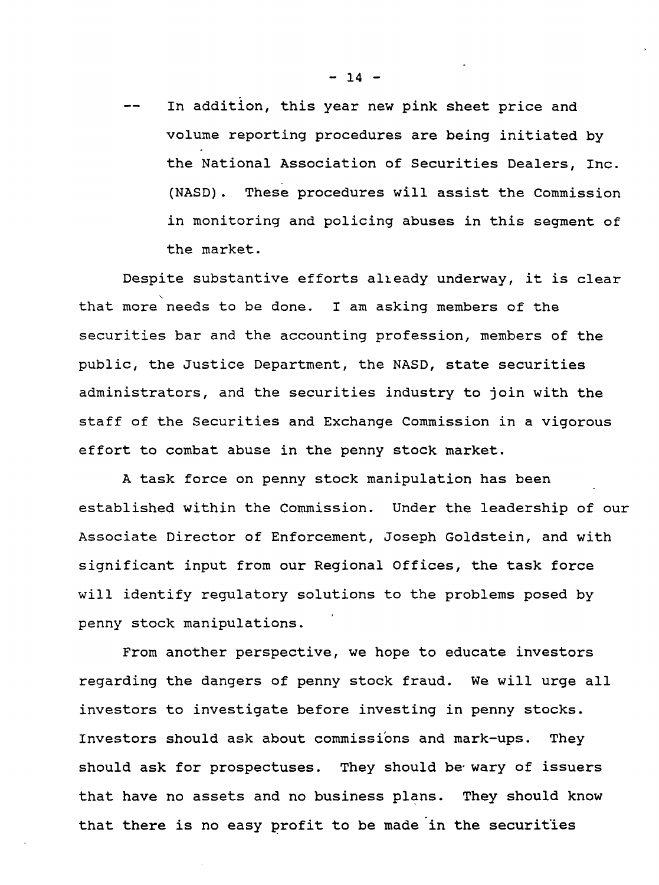In addition, this year new pink sheet price and volume reporting procedures are being initiated by the National Association of Securities Dealers, Inc. (NASD). These procedures will assist the Commission in monitoring and policing abuses in this segment of the market.

Despite substantive efforts alleady underway, it is clear , that more needs to be done. I am asking members of the securities bar and the accounting profession, members of the public, the Justice Department, the NASD, state securities administrators, and the securities industry to join with the staff of the Securities and Exchange Commission in a vigorous effort to combat abuse in the penny stock market.

A task force on penny stock manipulation has been established within the Commission. Under the leadership of our Associate Director of Enforcement, Joseph Goldstein, and with significant input from our Regional Offices, the task force will identify regulatory solutions to the problems posed by penny stock manipulations.

From another perspective, we hope to educate investors regarding the dangers of penny stock fraud. We will urge all investors to investigate before investing in penny stocks. Investors should ask about commissions and mark-ups. They should ask for prospectuses. They should be wary of issuers that have no assets and no business plans. They should know that there is no easy profit to be made in the securities